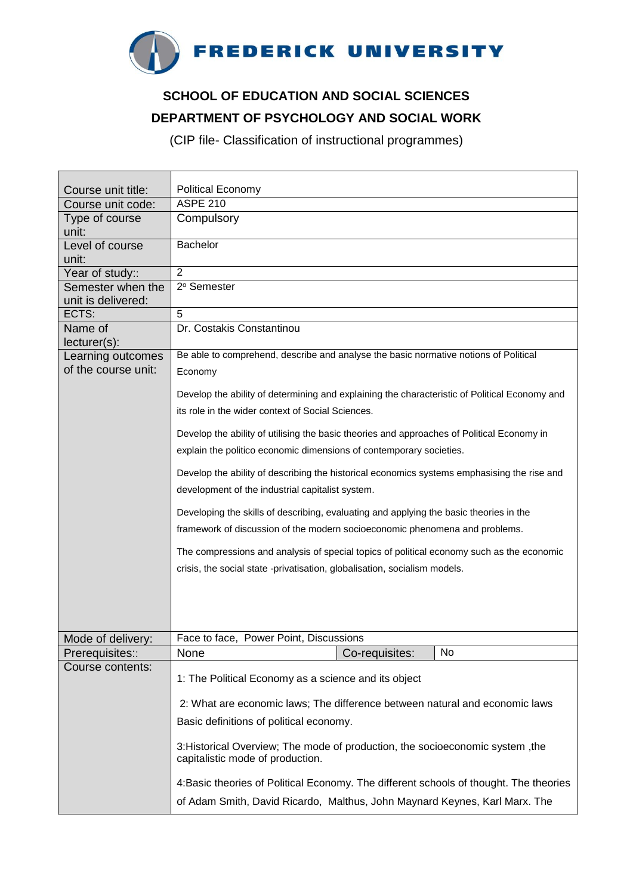

## **SCHOOL OF EDUCATION AND SOCIAL SCIENCES DEPARTMENT OF PSYCHOLOGY AND SOCIAL WORK**

(CIP file- Classification of instructional programmes)

| Course unit title:                   | <b>Political Economy</b>                                                                                          |
|--------------------------------------|-------------------------------------------------------------------------------------------------------------------|
| Course unit code:                    | <b>ASPE 210</b>                                                                                                   |
| Type of course                       | Compulsory                                                                                                        |
| unit:                                |                                                                                                                   |
| Level of course                      | Bachelor                                                                                                          |
| unit:                                | $\overline{2}$                                                                                                    |
| Year of study::<br>Semester when the | 2º Semester                                                                                                       |
| unit is delivered:                   |                                                                                                                   |
| ECTS:                                | 5                                                                                                                 |
| Name of                              | Dr. Costakis Constantinou                                                                                         |
| $lecturer(s)$ :                      |                                                                                                                   |
| Learning outcomes                    | Be able to comprehend, describe and analyse the basic normative notions of Political                              |
| of the course unit:                  | Economy                                                                                                           |
|                                      | Develop the ability of determining and explaining the characteristic of Political Economy and                     |
|                                      | its role in the wider context of Social Sciences.                                                                 |
|                                      |                                                                                                                   |
|                                      | Develop the ability of utilising the basic theories and approaches of Political Economy in                        |
|                                      | explain the politico economic dimensions of contemporary societies.                                               |
|                                      | Develop the ability of describing the historical economics systems emphasising the rise and                       |
|                                      | development of the industrial capitalist system.                                                                  |
|                                      | Developing the skills of describing, evaluating and applying the basic theories in the                            |
|                                      | framework of discussion of the modern socioeconomic phenomena and problems.                                       |
|                                      | The compressions and analysis of special topics of political economy such as the economic                         |
|                                      | crisis, the social state -privatisation, globalisation, socialism models.                                         |
|                                      |                                                                                                                   |
|                                      |                                                                                                                   |
|                                      |                                                                                                                   |
|                                      |                                                                                                                   |
| Mode of delivery:                    | Face to face, Power Point, Discussions                                                                            |
| Prerequisites::                      | Co-requisites:<br>$\mid$ No<br>None                                                                               |
| Course contents:                     | 1: The Political Economy as a science and its object                                                              |
|                                      | 2: What are economic laws; The difference between natural and economic laws                                       |
|                                      | Basic definitions of political economy.                                                                           |
|                                      | 3: Historical Overview; The mode of production, the socioeconomic system, the<br>capitalistic mode of production. |
|                                      | 4: Basic theories of Political Economy. The different schools of thought. The theories                            |
|                                      | of Adam Smith, David Ricardo, Malthus, John Maynard Keynes, Karl Marx. The                                        |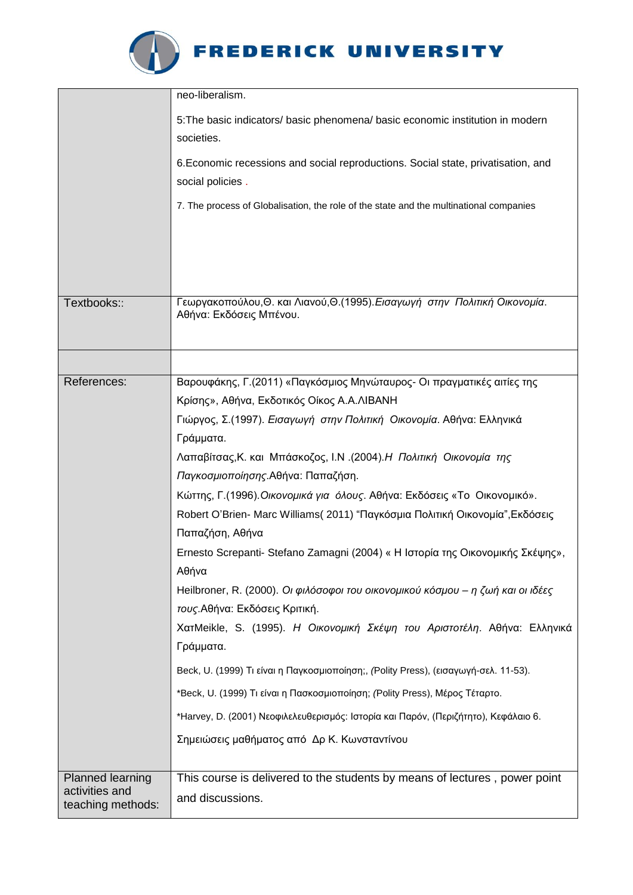

## FREDERICK UNIVERSITY

|                                                                | neo-liberalism.                                                                                            |
|----------------------------------------------------------------|------------------------------------------------------------------------------------------------------------|
|                                                                | 5: The basic indicators/ basic phenomena/ basic economic institution in modern<br>societies.               |
|                                                                | 6. Economic recessions and social reproductions. Social state, privatisation, and<br>social policies.      |
|                                                                | 7. The process of Globalisation, the role of the state and the multinational companies                     |
|                                                                |                                                                                                            |
| Textbooks::                                                    | Γεωργακοπούλου, Θ. και Λιανού, Θ. (1995). Εισαγωγή στην Πολιτική Οικονομία.<br>Αθήνα: Εκδόσεις Μπένου.     |
|                                                                |                                                                                                            |
| References:                                                    | Βαρουφάκης, Γ. (2011) «Παγκόσμιος Μηνώταυρος- Οι πραγματικές αιτίες της                                    |
|                                                                | Κρίσης», Αθήνα, Εκδοτικός Οίκος Α.Α.ΛΙΒΑΝΗ                                                                 |
|                                                                | Γιώργος, Σ. (1997). Εισαγωγή στην Πολιτική Οικονομία. Αθήνα: Ελληνικά                                      |
|                                                                | Γράμματα.                                                                                                  |
|                                                                | Λαπαβίτσας, Κ. και Μπάσκοζος, Ι.Ν. (2004). Η Πολιτική Οικονομία της                                        |
|                                                                | Παγκοσμιοποίησης. Αθήνα: Παπαζήση.                                                                         |
|                                                                | Κώττης, Γ. (1996). Οικονομικά για όλους. Αθήνα: Εκδόσεις «Το Οικονομικό».                                  |
|                                                                | Robert O'Brien- Marc Williams (2011) "Παγκόσμια Πολιτική Οικονομία", Εκδόσεις<br>Παπαζήση, Αθήνα           |
|                                                                | Ernesto Screpanti- Stefano Zamagni (2004) « Η Ιστορία της Οικονομικής Σκέψης»,<br>Αθήνα                    |
|                                                                | Heilbroner, R. (2000). Οι φιλόσοφοι του οικονομικού κόσμου – η ζωή και οι ιδέες                            |
|                                                                | τους. Αθήνα: Εκδόσεις Κριτική.<br>ΧατΜeikle, S. (1995). Η Οικονομική Σκέψη του Αριστοτέλη. Αθήνα: Ελληνικά |
|                                                                | Γράμματα.                                                                                                  |
|                                                                | Beck, U. (1999) Τι είναι η Παγκοσμιοποίηση;, (Polity Press), (εισαγωγή-σελ. 11-53).                        |
|                                                                | *Beck, U. (1999) Τι είναι η Πασκοσμιοποίηση; (Polity Press), Μέρος Τέταρτο.                                |
|                                                                | *Harvey, D. (2001) Νεοφιλελευθερισμός: Ιστορία και Παρόν, (Περιζήτητο), Κεφάλαιο 6.                        |
|                                                                | Σημειώσεις μαθήματος από Δρ Κ. Κωνσταντίνου                                                                |
| <b>Planned learning</b><br>activities and<br>teaching methods: | This course is delivered to the students by means of lectures, power point<br>and discussions.             |